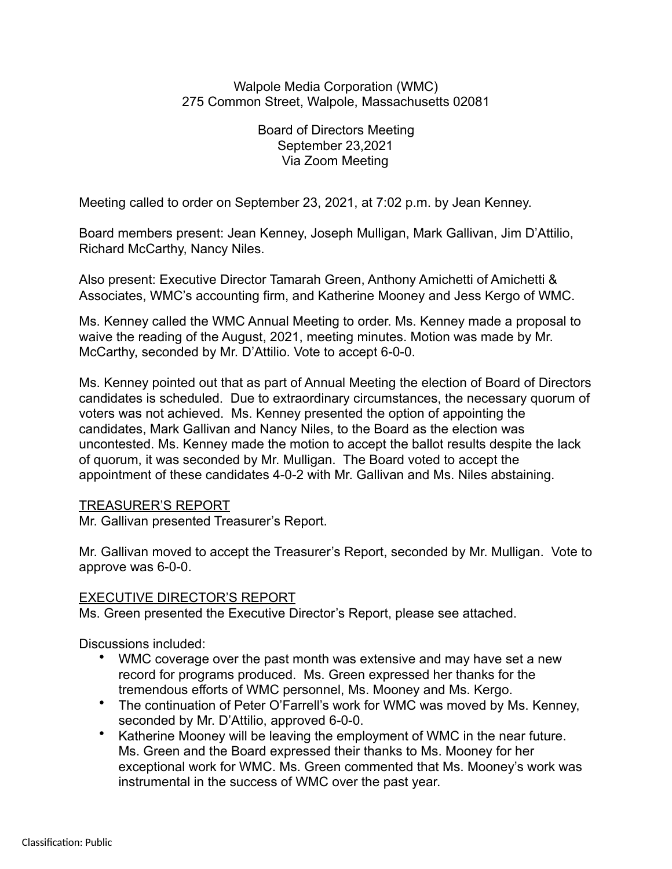## Walpole Media Corporation (WMC) 275 Common Street, Walpole, Massachusetts 02081

Board of Directors Meeting September 23,2021 Via Zoom Meeting

Meeting called to order on September 23, 2021, at 7:02 p.m. by Jean Kenney.

Board members present: Jean Kenney, Joseph Mulligan, Mark Gallivan, Jim D'Attilio, Richard McCarthy, Nancy Niles.

Also present: Executive Director Tamarah Green, Anthony Amichetti of Amichetti & Associates, WMC's accounting firm, and Katherine Mooney and Jess Kergo of WMC.

Ms. Kenney called the WMC Annual Meeting to order. Ms. Kenney made a proposal to waive the reading of the August, 2021, meeting minutes. Motion was made by Mr. McCarthy, seconded by Mr. D'Attilio. Vote to accept 6-0-0.

Ms. Kenney pointed out that as part of Annual Meeting the election of Board of Directors candidates is scheduled. Due to extraordinary circumstances, the necessary quorum of voters was not achieved. Ms. Kenney presented the option of appointing the candidates, Mark Gallivan and Nancy Niles, to the Board as the election was uncontested. Ms. Kenney made the motion to accept the ballot results despite the lack of quorum, it was seconded by Mr. Mulligan. The Board voted to accept the appointment of these candidates 4-0-2 with Mr. Gallivan and Ms. Niles abstaining.

## TREASURER'S REPORT

Mr. Gallivan presented Treasurer's Report.

Mr. Gallivan moved to accept the Treasurer's Report, seconded by Mr. Mulligan. Vote to approve was 6-0-0.

## EXECUTIVE DIRECTOR'S REPORT

Ms. Green presented the Executive Director's Report, please see attached.

Discussions included:

- WMC coverage over the past month was extensive and may have set a new record for programs produced. Ms. Green expressed her thanks for the tremendous efforts of WMC personnel, Ms. Mooney and Ms. Kergo.
- The continuation of Peter O'Farrell's work for WMC was moved by Ms. Kenney, seconded by Mr. D'Attilio, approved 6-0-0.
- Katherine Mooney will be leaving the employment of WMC in the near future. Ms. Green and the Board expressed their thanks to Ms. Mooney for her exceptional work for WMC. Ms. Green commented that Ms. Mooney's work was instrumental in the success of WMC over the past year.